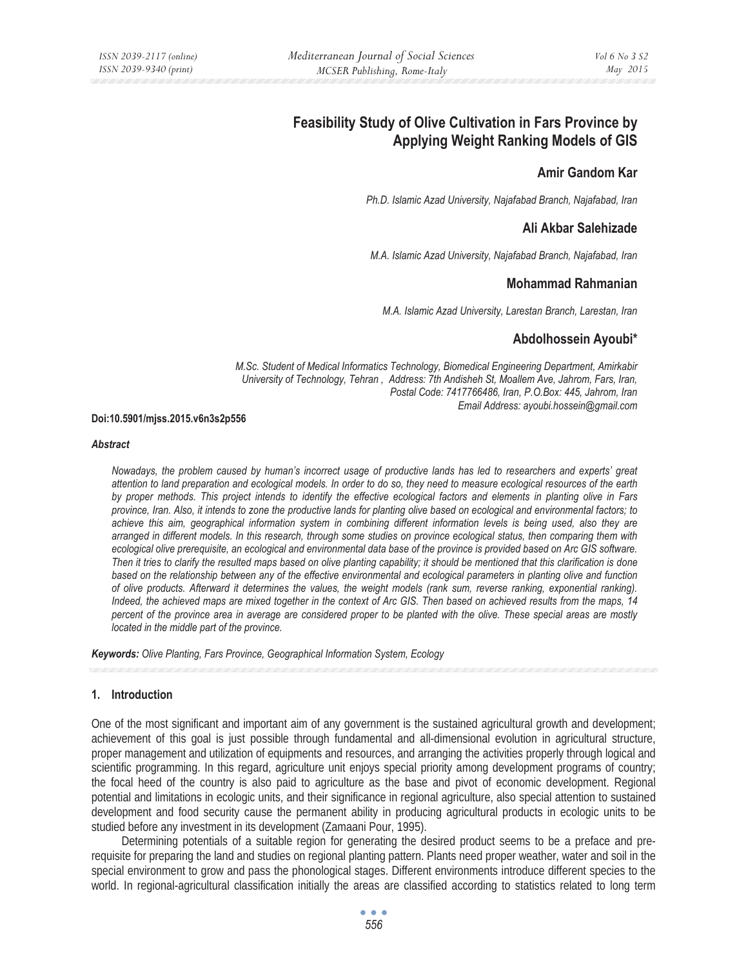# **Feasibility Study of Olive Cultivation in Fars Province by Applying Weight Ranking Models of GIS**

# **Amir Gandom Kar**

*Ph.D. Islamic Azad University, Najafabad Branch, Najafabad, Iran* 

# **Ali Akbar Salehizade**

*M.A. Islamic Azad University, Najafabad Branch, Najafabad, Iran* 

### **Mohammad Rahmanian**

*M.A. Islamic Azad University, Larestan Branch, Larestan, Iran* 

# **Abdolhossein Ayoubi\***

*M.Sc. Student of Medical Informatics Technology, Biomedical Engineering Department, Amirkabir University of Technology, Tehran , Address: 7th Andisheh St, Moallem Ave, Jahrom, Fars, Iran, Postal Code: 7417766486, Iran, P.O.Box: 445, Jahrom, Iran Email Address: ayoubi.hossein@gmail.com*

#### **Doi:10.5901/mjss.2015.v6n3s2p556**

#### *Abstract*

*Nowadays, the problem caused by human's incorrect usage of productive lands has led to researchers and experts' great attention to land preparation and ecological models. In order to do so, they need to measure ecological resources of the earth by proper methods. This project intends to identify the effective ecological factors and elements in planting olive in Fars province, Iran. Also, it intends to zone the productive lands for planting olive based on ecological and environmental factors; to*  achieve this aim, geographical information system in combining different information levels is being used, also they are *arranged in different models. In this research, through some studies on province ecological status, then comparing them with ecological olive prerequisite, an ecological and environmental data base of the province is provided based on Arc GIS software. Then it tries to clarify the resulted maps based on olive planting capability; it should be mentioned that this clarification is done based on the relationship between any of the effective environmental and ecological parameters in planting olive and function of olive products. Afterward it determines the values, the weight models (rank sum, reverse ranking, exponential ranking). Indeed, the achieved maps are mixed together in the context of Arc GIS. Then based on achieved results from the maps, 14 percent of the province area in average are considered proper to be planted with the olive. These special areas are mostly located in the middle part of the province.* 

*Keywords: Olive Planting, Fars Province, Geographical Information System, Ecology*

### **1. Introduction**

One of the most significant and important aim of any government is the sustained agricultural growth and development; achievement of this goal is just possible through fundamental and all-dimensional evolution in agricultural structure, proper management and utilization of equipments and resources, and arranging the activities properly through logical and scientific programming. In this regard, agriculture unit enjoys special priority among development programs of country; the focal heed of the country is also paid to agriculture as the base and pivot of economic development. Regional potential and limitations in ecologic units, and their significance in regional agriculture, also special attention to sustained development and food security cause the permanent ability in producing agricultural products in ecologic units to be studied before any investment in its development (Zamaani Pour, 1995).

Determining potentials of a suitable region for generating the desired product seems to be a preface and prerequisite for preparing the land and studies on regional planting pattern. Plants need proper weather, water and soil in the special environment to grow and pass the phonological stages. Different environments introduce different species to the world. In regional-agricultural classification initially the areas are classified according to statistics related to long term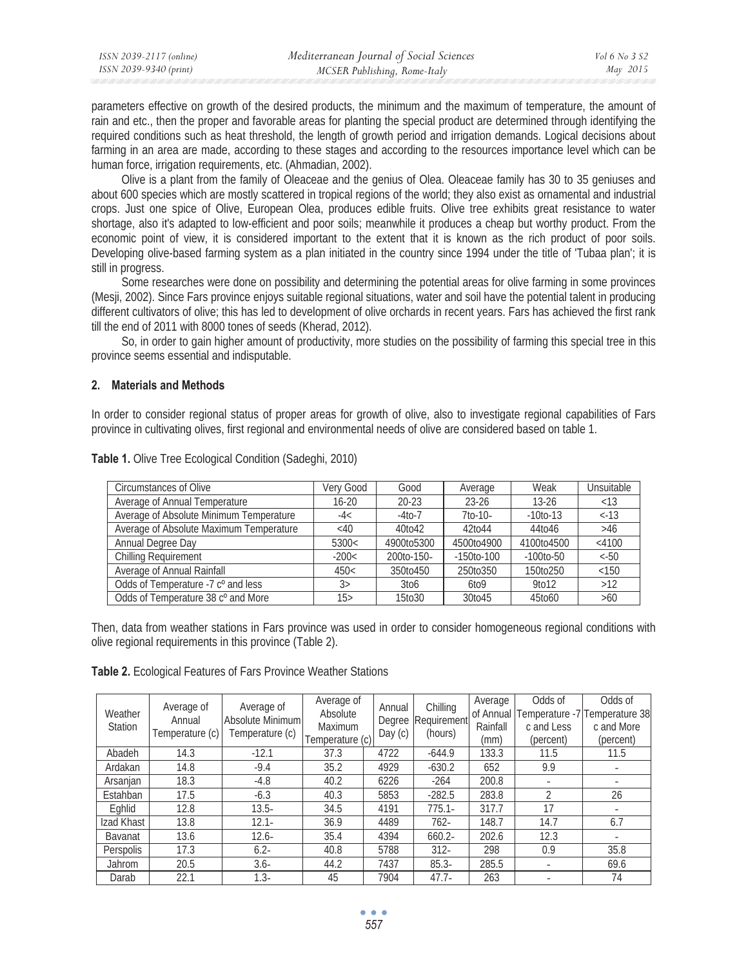| ISSN 2039-2117 (online) | Mediterranean Journal of Social Sciences | Vol 6 No 3 S2 |
|-------------------------|------------------------------------------|---------------|
| ISSN 2039-9340 (print)  | MCSER Publishing, Rome-Italy             | May 2015      |

parameters effective on growth of the desired products, the minimum and the maximum of temperature, the amount of rain and etc., then the proper and favorable areas for planting the special product are determined through identifying the required conditions such as heat threshold, the length of growth period and irrigation demands. Logical decisions about farming in an area are made, according to these stages and according to the resources importance level which can be human force, irrigation requirements, etc. (Ahmadian, 2002).

Olive is a plant from the family of Oleaceae and the genius of Olea. Oleaceae family has 30 to 35 geniuses and about 600 species which are mostly scattered in tropical regions of the world; they also exist as ornamental and industrial crops. Just one spice of Olive, European Olea, produces edible fruits. Olive tree exhibits great resistance to water shortage, also it's adapted to low-efficient and poor soils; meanwhile it produces a cheap but worthy product. From the economic point of view, it is considered important to the extent that it is known as the rich product of poor soils. Developing olive-based farming system as a plan initiated in the country since 1994 under the title of 'Tubaa plan'; it is still in progress.

Some researches were done on possibility and determining the potential areas for olive farming in some provinces (Mesji, 2002). Since Fars province enjoys suitable regional situations, water and soil have the potential talent in producing different cultivators of olive; this has led to development of olive orchards in recent years. Fars has achieved the first rank till the end of 2011 with 8000 tones of seeds (Kherad, 2012).

So, in order to gain higher amount of productivity, more studies on the possibility of farming this special tree in this province seems essential and indisputable.

### **2. Materials and Methods**

In order to consider regional status of proper areas for growth of olive, also to investigate regional capabilities of Fars province in cultivating olives, first regional and environmental needs of olive are considered based on table 1.

| <b>Circumstances of Olive</b>                  | Verv Good          | Good              | Average           | Weak              | Unsuitable |
|------------------------------------------------|--------------------|-------------------|-------------------|-------------------|------------|
| Average of Annual Temperature                  | $16 - 20$          | $20 - 23$         | $23 - 26$         | $13 - 26$         | < 13       |
| Average of Absolute Minimum Temperature        | $-4<$              | $-4$ to $-7$      | $7$ to-10-        | $-10$ to $-13$    | $<-13$     |
| Average of Absolute Maximum Temperature        | <40                | 40to42            | 42to44            | 44to46            | >46        |
| Annual Degree Day                              | 5300<              | 4900to5300        | 4500to4900        | 4100to4500        | $<$ 4100   |
| Chilling Requirement                           | $-200<$            | 200to-150-        | $-150$ to $-100$  | $-100$ to $-50$   | $<-50$     |
| Average of Annual Rainfall                     | 450<               | 350to450          | 250to350          | 150to250          | < 150      |
| Odds of Temperature -7 c <sup>o</sup> and less | 3>                 | 3 <sub>to</sub> 6 | 6 <sub>to</sub> 9 | 9 <sub>to12</sub> | $>12$      |
| Odds of Temperature 38 c° and More             | 15 <sub>&gt;</sub> | 15to30            | 30to45            | 45to60            | $>60$      |

**Table 1.** Olive Tree Ecological Condition (Sadeghi, 2010)

Then, data from weather stations in Fars province was used in order to consider homogeneous regional conditions with olive regional requirements in this province (Table 2).

**Table 2.** Ecological Features of Fars Province Weather Stations

| Weather<br><b>Station</b> | Average of<br>Annual<br>Temperature (c) | Average of<br>Absolute Minimum<br>Temperature (c) | Average of<br>Absolute<br>Maximum<br>Temperature (c) | Annual<br>Degree<br>Day (c) | Chilling<br>Requirement<br>(hours) | Average<br>of Annual<br>Rainfall<br>(mm) | Odds of<br>c and Less<br>(percent) | Odds of<br>Temperature -7 Temperature 38<br>c and More<br>(percent) |
|---------------------------|-----------------------------------------|---------------------------------------------------|------------------------------------------------------|-----------------------------|------------------------------------|------------------------------------------|------------------------------------|---------------------------------------------------------------------|
| Abadeh                    | 14.3                                    | $-12.1$                                           | 37.3                                                 | 4722                        | $-644.9$                           | 133.3                                    | 11.5                               | 11.5                                                                |
| Ardakan                   | 14.8                                    | $-9.4$                                            | 35.2                                                 | 4929                        | $-630.2$                           | 652                                      | 9.9                                |                                                                     |
| Arsanjan                  | 18.3                                    | $-4.8$                                            | 40.2                                                 | 6226                        | $-264$                             | 200.8                                    |                                    |                                                                     |
| Estahban                  | 17.5                                    | $-6.3$                                            | 40.3                                                 | 5853                        | $-282.5$                           | 283.8                                    |                                    | 26                                                                  |
| Eghlid                    | 12.8                                    | $13.5 -$                                          | 34.5                                                 | 4191                        | $775.1 -$                          | 317.7                                    | 17                                 |                                                                     |
| Izad Khast                | 13.8                                    | $12.1 -$                                          | 36.9                                                 | 4489                        | $762 -$                            | 148.7                                    | 14.7                               | 6.7                                                                 |
| <b>Bavanat</b>            | 13.6                                    | $12.6 -$                                          | 35.4                                                 | 4394                        | $660.2 -$                          | 202.6                                    | 12.3                               |                                                                     |
| Perspolis                 | 17.3                                    | $6.2 -$                                           | 40.8                                                 | 5788                        | $312 -$                            | 298                                      | 0.9                                | 35.8                                                                |
| Jahrom                    | 20.5                                    | $3.6 -$                                           | 44.2                                                 | 7437                        | $85.3 -$                           | 285.5                                    |                                    | 69.6                                                                |
| Darab                     | 22.1                                    | $1.3 -$                                           | 45                                                   | 7904                        | $47.7 -$                           | 263                                      |                                    | 74                                                                  |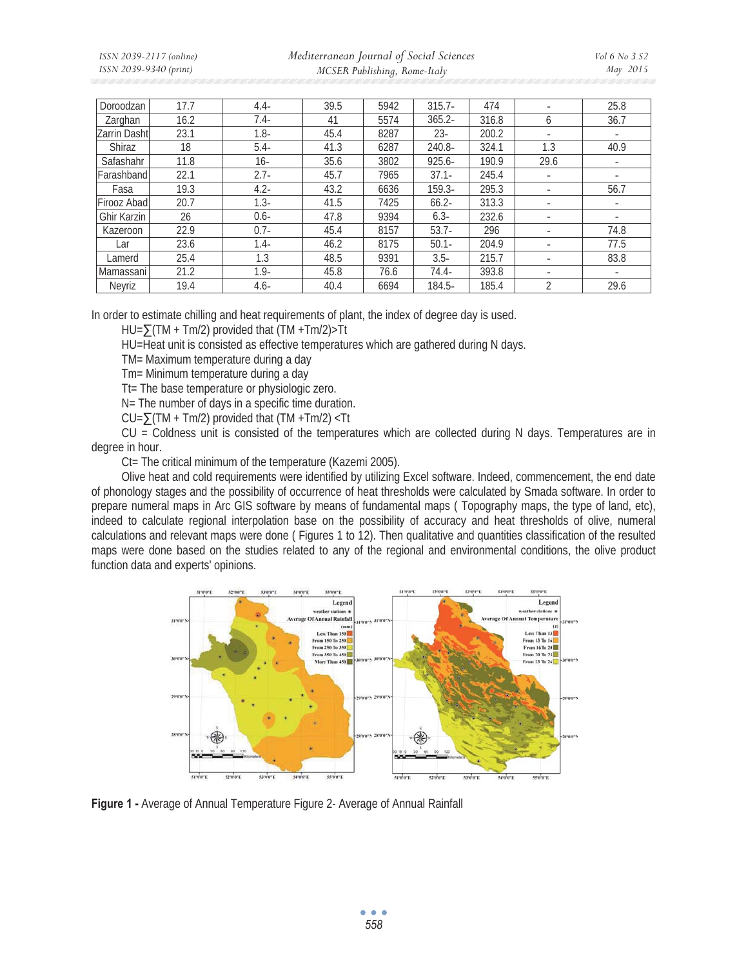*ISSN 2039-2117 (online) ISSN 2039-9340 (print)* 

 *Mediterranean Journal of Social Sciences MCSER Publishing, Rome-Italy* 

| Doroodzan          | 17.7 | $4.4-$  | 39.5 | 5942 | $315.7 -$ | 474   |              | 25.8                     |
|--------------------|------|---------|------|------|-----------|-------|--------------|--------------------------|
| Zarghan            | 16.2 | $7.4-$  | 41   | 5574 | $365.2 -$ | 316.8 | <sub>6</sub> | 36.7                     |
| Zarrin Dasht       | 23.1 | $1.8 -$ | 45.4 | 8287 | $23 -$    | 200.2 |              | $\overline{\phantom{a}}$ |
| Shiraz             | 18   | $5.4-$  | 41.3 | 6287 | 240.8-    | 324.1 | 1.3          | 40.9                     |
| Safashahr          | 11.8 | 16-     | 35.6 | 3802 | $925.6 -$ | 190.9 | 29.6         | ۰                        |
| Farashband         | 22.1 | $2.7 -$ | 45.7 | 7965 | $37.1 -$  | 245.4 |              |                          |
| Fasa               | 19.3 | $4.2 -$ | 43.2 | 6636 | $159.3-$  | 295.3 |              | 56.7                     |
| Firooz Abad        | 20.7 | $1.3 -$ | 41.5 | 7425 | $66.2 -$  | 313.3 |              | $\overline{\phantom{a}}$ |
| <b>Ghir Karzin</b> | 26   | $0.6 -$ | 47.8 | 9394 | $6.3 -$   | 232.6 |              | $\overline{\phantom{a}}$ |
| Kazeroon           | 22.9 | $0.7 -$ | 45.4 | 8157 | $53.7-$   | 296   |              | 74.8                     |
| Lar                | 23.6 | $1.4 -$ | 46.2 | 8175 | $50.1 -$  | 204.9 |              | 77.5                     |
| Lamerd             | 25.4 | 1.3     | 48.5 | 9391 | $3.5 -$   | 215.7 |              | 83.8                     |
| Mamassani          | 21.2 | $1.9 -$ | 45.8 | 76.6 | $74.4-$   | 393.8 |              |                          |
| Neyriz             | 19.4 | $4.6 -$ | 40.4 | 6694 | 184.5-    | 185.4 | 2            | 29.6                     |

In order to estimate chilling and heat requirements of plant, the index of degree day is used.

 $HU = \sum(TM + Tm/2)$  provided that  $(TM + Tm/2) > Tt$ 

HU=Heat unit is consisted as effective temperatures which are gathered during N days.

TM= Maximum temperature during a day

Tm= Minimum temperature during a day

Tt= The base temperature or physiologic zero.

N= The number of days in a specific time duration.

 $CU=\sum(TM + Tm/2)$  provided that  $(TM + Tm/2)$  <Tt

CU = Coldness unit is consisted of the temperatures which are collected during N days. Temperatures are in degree in hour.

Ct= The critical minimum of the temperature (Kazemi 2005).

Olive heat and cold requirements were identified by utilizing Excel software. Indeed, commencement, the end date of phonology stages and the possibility of occurrence of heat thresholds were calculated by Smada software. In order to prepare numeral maps in Arc GIS software by means of fundamental maps ( Topography maps, the type of land, etc), indeed to calculate regional interpolation base on the possibility of accuracy and heat thresholds of olive, numeral calculations and relevant maps were done ( Figures 1 to 12). Then qualitative and quantities classification of the resulted maps were done based on the studies related to any of the regional and environmental conditions, the olive product function data and experts' opinions.



**Figure 1 -** Average of Annual Temperature Figure 2- Average of Annual Rainfall

 $\bullet$   $\bullet$   $\bullet$ *558*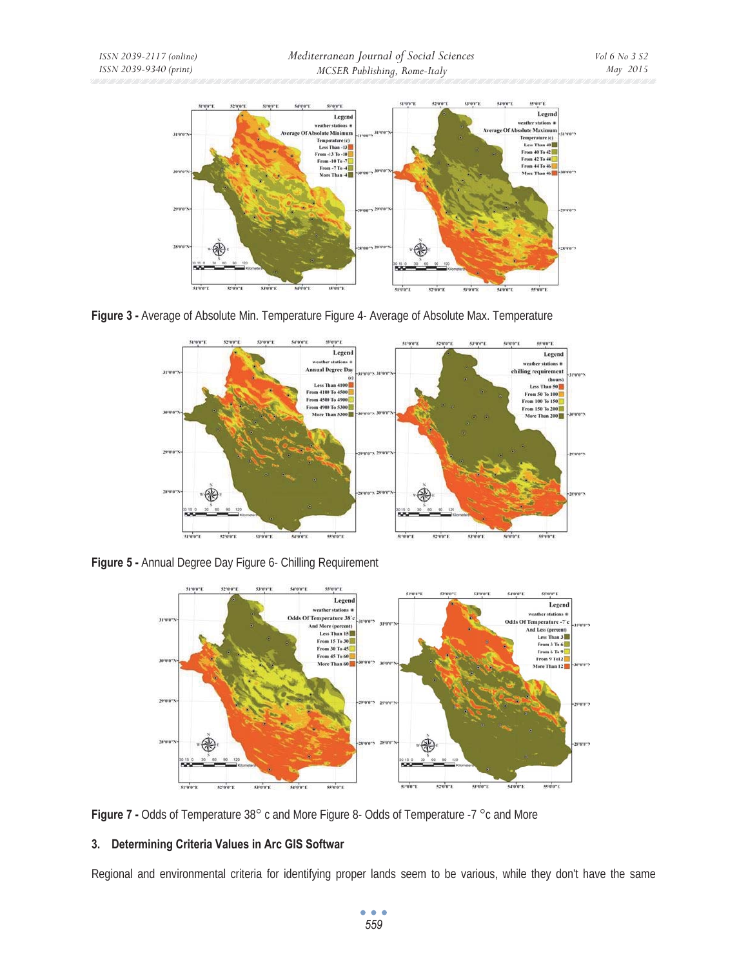

**Figure 3 -** Average of Absolute Min. Temperature Figure 4- Average of Absolute Max. Temperature



**Figure 5 -** Annual Degree Day Figure 6- Chilling Requirement



**Figure 7 -** Odds of Temperature 38° c and More Figure 8- Odds of Temperature -7 °c and More

# **3. Determining Criteria Values in Arc GIS Softwar**

Regional and environmental criteria for identifying proper lands seem to be various, while they don't have the same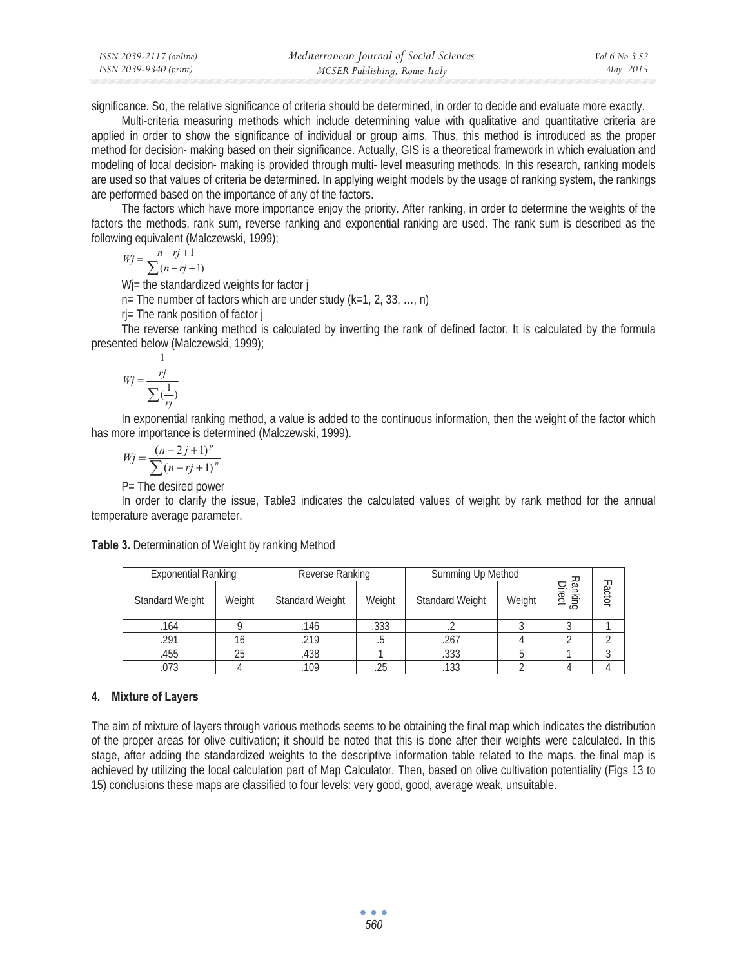| ISSN 2039-2117 (online) | Mediterranean Journal of Social Sciences | Vol 6 No 3 S2 |
|-------------------------|------------------------------------------|---------------|
| ISSN 2039-9340 (print)  | MCSER Publishing, Rome-Italy             | May 2015      |

significance. So, the relative significance of criteria should be determined, in order to decide and evaluate more exactly.

Multi-criteria measuring methods which include determining value with qualitative and quantitative criteria are applied in order to show the significance of individual or group aims. Thus, this method is introduced as the proper method for decision- making based on their significance. Actually, GIS is a theoretical framework in which evaluation and modeling of local decision- making is provided through multi- level measuring methods. In this research, ranking models are used so that values of criteria be determined. In applying weight models by the usage of ranking system, the rankings are performed based on the importance of any of the factors.

The factors which have more importance enjoy the priority. After ranking, in order to determine the weights of the factors the methods, rank sum, reverse ranking and exponential ranking are used. The rank sum is described as the following equivalent (Malczewski, 1999);

$$
Wj = \frac{n - rj + 1}{\sum (n - rj + 1)}
$$

 $\sum (n - rj + 1)$ <br>Wi= the standardized weights for factor j

 $n=$  The number of factors which are under study (k=1, 2, 33, ..., n)

rj= The rank position of factor j

The reverse ranking method is calculated by inverting the rank of defined factor. It is calculated by the formula presented below (Malczewski, 1999);

$$
Wj = \frac{\frac{1}{rj}}{\sum_{i}(\frac{1}{rj})}
$$

 In exponential ranking method, a value is added to the continuous information, then the weight of the factor which has more importance is determined (Malczewski, 1999).

$$
Wj = \frac{(n-2j+1)^p}{\sum (n-rj+1)^p}
$$

P= The desired power

In order to clarify the issue, Table3 indicates the calculated values of weight by rank method for the annual temperature average parameter.

**Table 3.** Determination of Weight by ranking Method

| <b>Exponential Ranking</b> |        | Reverse Ranking        |           | Summing Up Method      |        |                   |       |
|----------------------------|--------|------------------------|-----------|------------------------|--------|-------------------|-------|
| Standard Weight            | Weight | <b>Standard Weight</b> | Weight    | <b>Standard Weight</b> | Weight | Ranking<br>Direct | iotor |
| .164                       |        | .146                   | .333      |                        |        |                   |       |
| 291                        |        | 219                    | $\ddotsc$ | 267                    |        |                   |       |
| .455                       | 25     | .438                   |           | .333                   |        |                   |       |
|                            |        | 109                    | 25        | .133                   |        |                   |       |

### **4. Mixture of Layers**

The aim of mixture of layers through various methods seems to be obtaining the final map which indicates the distribution of the proper areas for olive cultivation; it should be noted that this is done after their weights were calculated. In this stage, after adding the standardized weights to the descriptive information table related to the maps, the final map is achieved by utilizing the local calculation part of Map Calculator. Then, based on olive cultivation potentiality (Figs 13 to 15) conclusions these maps are classified to four levels: very good, good, average weak, unsuitable.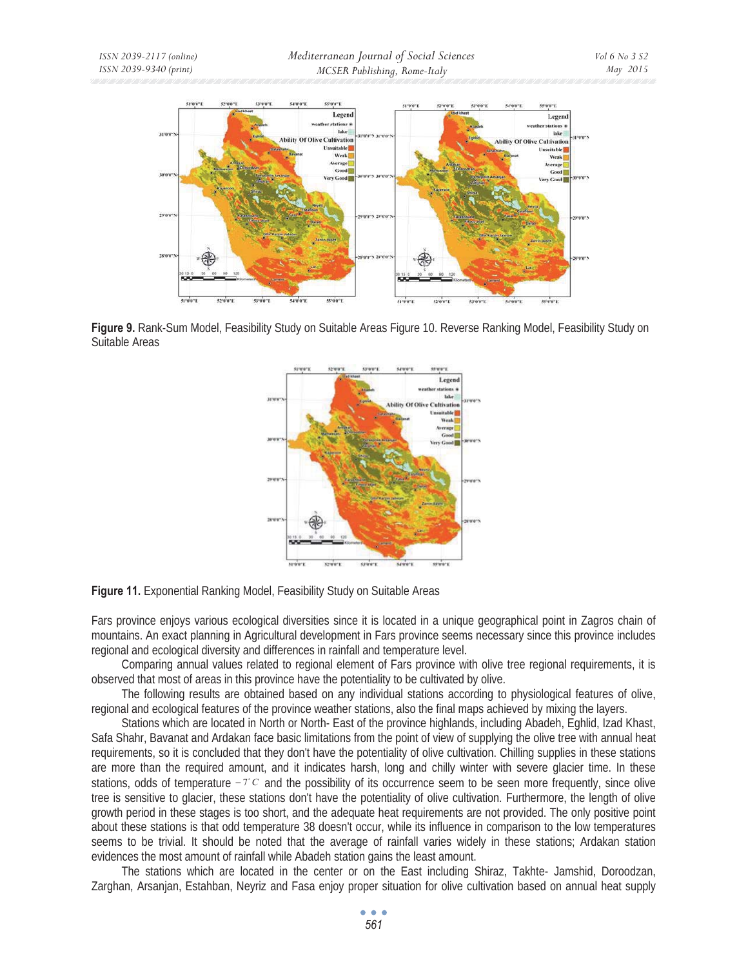

**Figure 9.** Rank-Sum Model, Feasibility Study on Suitable Areas Figure 10. Reverse Ranking Model, Feasibility Study on Suitable Areas



**Figure 11.** Exponential Ranking Model, Feasibility Study on Suitable Areas

Fars province enjoys various ecological diversities since it is located in a unique geographical point in Zagros chain of mountains. An exact planning in Agricultural development in Fars province seems necessary since this province includes regional and ecological diversity and differences in rainfall and temperature level.

Comparing annual values related to regional element of Fars province with olive tree regional requirements, it is observed that most of areas in this province have the potentiality to be cultivated by olive.

The following results are obtained based on any individual stations according to physiological features of olive, regional and ecological features of the province weather stations, also the final maps achieved by mixing the layers.

Stations which are located in North or North- East of the province highlands, including Abadeh, Eghlid, Izad Khast, Safa Shahr, Bavanat and Ardakan face basic limitations from the point of view of supplying the olive tree with annual heat requirements, so it is concluded that they don't have the potentiality of olive cultivation. Chilling supplies in these stations are more than the required amount, and it indicates harsh, long and chilly winter with severe glacier time. In these stations, odds of temperature  $-7^{\circ}$  c and the possibility of its occurrence seem to be seen more frequently, since olive tree is sensitive to glacier, these stations don't have the potentiality of olive cultivation. Furthermore, the length of olive growth period in these stages is too short, and the adequate heat requirements are not provided. The only positive point about these stations is that odd temperature 38 doesn't occur, while its influence in comparison to the low temperatures seems to be trivial. It should be noted that the average of rainfall varies widely in these stations; Ardakan station evidences the most amount of rainfall while Abadeh station gains the least amount.

The stations which are located in the center or on the East including Shiraz, Takhte- Jamshid, Doroodzan, Zarghan, Arsanjan, Estahban, Neyriz and Fasa enjoy proper situation for olive cultivation based on annual heat supply